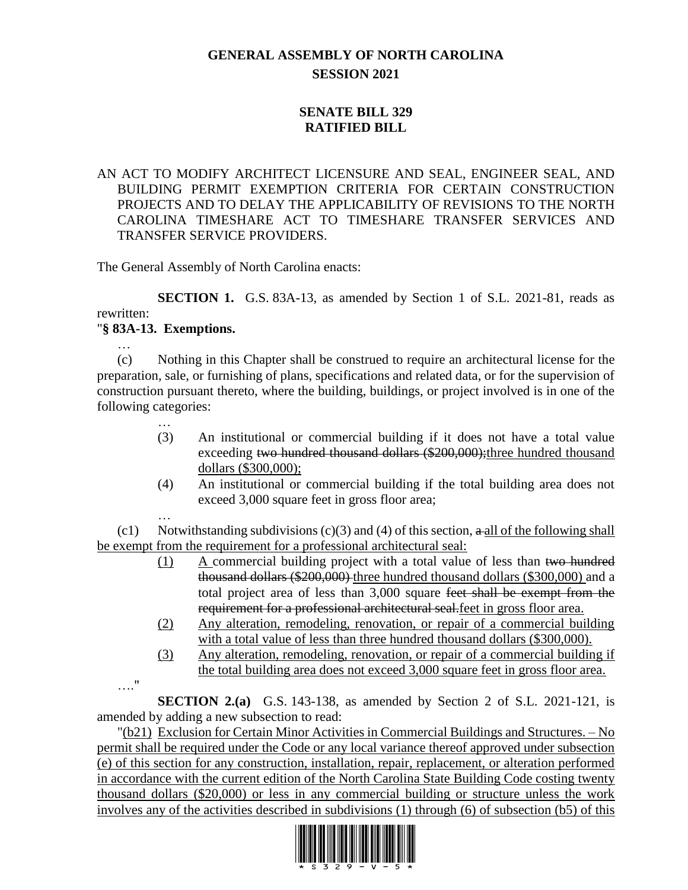## **GENERAL ASSEMBLY OF NORTH CAROLINA SESSION 2021**

## **SENATE BILL 329 RATIFIED BILL**

## AN ACT TO MODIFY ARCHITECT LICENSURE AND SEAL, ENGINEER SEAL, AND BUILDING PERMIT EXEMPTION CRITERIA FOR CERTAIN CONSTRUCTION PROJECTS AND TO DELAY THE APPLICABILITY OF REVISIONS TO THE NORTH CAROLINA TIMESHARE ACT TO TIMESHARE TRANSFER SERVICES AND TRANSFER SERVICE PROVIDERS.

The General Assembly of North Carolina enacts:

**SECTION 1.** G.S. 83A-13, as amended by Section 1 of S.L. 2021-81, reads as rewritten: "**§ 83A-13. Exemptions.**

(c) Nothing in this Chapter shall be construed to require an architectural license for the preparation, sale, or furnishing of plans, specifications and related data, or for the supervision of construction pursuant thereto, where the building, buildings, or project involved is in one of the following categories:

- … (3) An institutional or commercial building if it does not have a total value exceeding two hundred thousand dollars (\$200,000); three hundred thousand dollars (\$300,000);
- (4) An institutional or commercial building if the total building area does not exceed 3,000 square feet in gross floor area;

… (c1) Notwithstanding subdivisions (c)(3) and (4) of this section,  $\alpha$  all of the following shall be exempt from the requirement for a professional architectural seal:

- (1) A commercial building project with a total value of less than two hundred thousand dollars (\$200,000) three hundred thousand dollars (\$300,000) and a total project area of less than 3,000 square feet shall be exempt from the requirement for a professional architectural seal.feet in gross floor area.
- (2) Any alteration, remodeling, renovation, or repair of a commercial building with a total value of less than three hundred thousand dollars (\$300,000).
- (3) Any alteration, remodeling, renovation, or repair of a commercial building if the total building area does not exceed 3,000 square feet in gross floor area.
- …."

…

**SECTION 2.(a)** G.S. 143-138, as amended by Section 2 of S.L. 2021-121, is amended by adding a new subsection to read:

"(b21) Exclusion for Certain Minor Activities in Commercial Buildings and Structures. – No permit shall be required under the Code or any local variance thereof approved under subsection (e) of this section for any construction, installation, repair, replacement, or alteration performed in accordance with the current edition of the North Carolina State Building Code costing twenty thousand dollars (\$20,000) or less in any commercial building or structure unless the work involves any of the activities described in subdivisions (1) through (6) of subsection (b5) of this

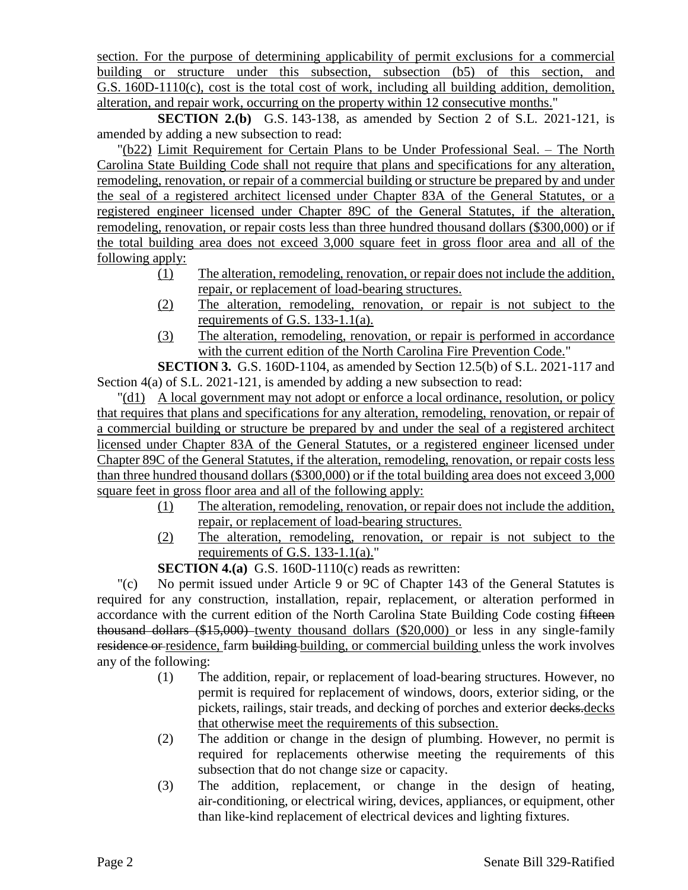section. For the purpose of determining applicability of permit exclusions for a commercial building or structure under this subsection, subsection (b5) of this section, and G.S. 160D-1110(c), cost is the total cost of work, including all building addition, demolition, alteration, and repair work, occurring on the property within 12 consecutive months."

**SECTION 2.(b)** G.S. 143-138, as amended by Section 2 of S.L. 2021-121, is amended by adding a new subsection to read:

"(b22) Limit Requirement for Certain Plans to be Under Professional Seal. – The North Carolina State Building Code shall not require that plans and specifications for any alteration, remodeling, renovation, or repair of <u>a commercial building or structure be prepared by and under</u> the seal of a registered architect licensed under Chapter 83A of the General Statutes, or a registered engineer licensed under Chapter 89C of the General Statutes, if the alteration, remodeling, renovation, or repair costs less than three hundred thousand dollars (\$300,000) or if the total building area does not exceed 3,000 square feet in gross floor area and all of the following apply:

- (1) The alteration, remodeling, renovation, or repair does not include the addition, repair, or replacement of load-bearing structures.
- (2) The alteration, remodeling, renovation, or repair is not subject to the requirements of G.S. 133-1.1(a).
- (3) The alteration, remodeling, renovation, or repair is performed in accordance with the current edition of the North Carolina Fire Prevention Code."

**SECTION 3.** G.S. 160D-1104, as amended by Section 12.5(b) of S.L. 2021-117 and Section 4(a) of S.L. 2021-121, is amended by adding a new subsection to read:

"(d1) A local government may not adopt or enforce a local ordinance, resolution, or policy that requires that plans and specifications for any alteration, remodeling, renovation, or repair of a commercial building or structure be prepared by and under the seal of a registered architect licensed under Chapter 83A of the General Statutes, or a registered engineer licensed under Chapter 89C of the General Statutes, if the alteration, remodeling, renovation, or repair costs less than three hundred thousand dollars (\$300,000) or if the total building area does not exceed 3,000 square feet in gross floor area and all of the following apply:

- (1) The alteration, remodeling, renovation, or repair does not include the addition, repair, or replacement of load-bearing structures.
- (2) The alteration, remodeling, renovation, or repair is not subject to the requirements of G.S. 133-1.1(a)."

## **SECTION 4.(a)** G.S. 160D-1110(c) reads as rewritten:

"(c) No permit issued under Article 9 or 9C of Chapter 143 of the General Statutes is required for any construction, installation, repair, replacement, or alteration performed in accordance with the current edition of the North Carolina State Building Code costing fifteen thousand dollars  $(\$15,000)$  twenty thousand dollars  $(\$20,000)$  or less in any single-family residence or residence, farm building building, or commercial building unless the work involves any of the following:

- (1) The addition, repair, or replacement of load-bearing structures. However, no permit is required for replacement of windows, doors, exterior siding, or the pickets, railings, stair treads, and decking of porches and exterior decks.decks that otherwise meet the requirements of this subsection.
- (2) The addition or change in the design of plumbing. However, no permit is required for replacements otherwise meeting the requirements of this subsection that do not change size or capacity.
- (3) The addition, replacement, or change in the design of heating, air-conditioning, or electrical wiring, devices, appliances, or equipment, other than like-kind replacement of electrical devices and lighting fixtures.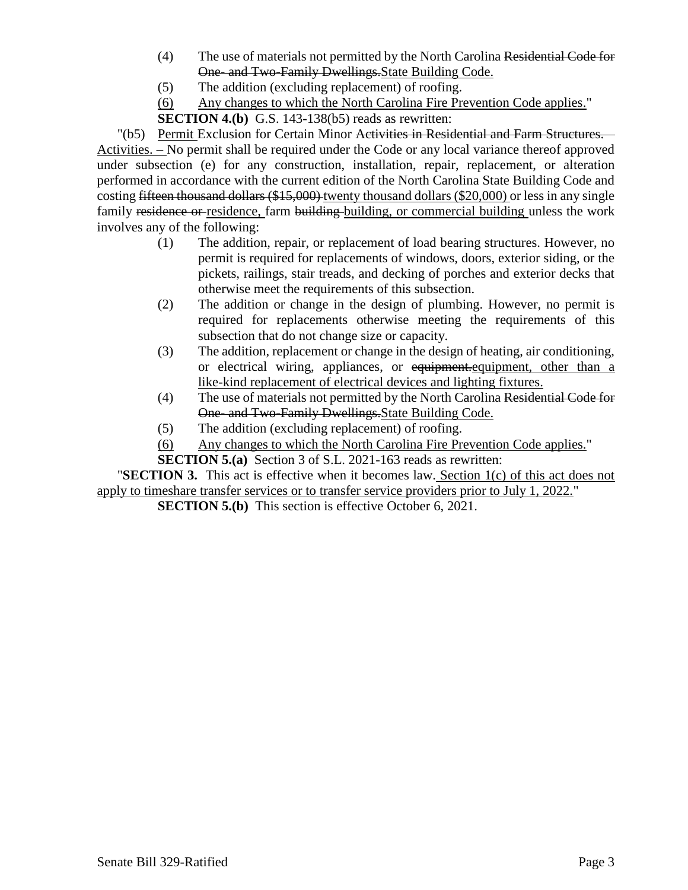- (4) The use of materials not permitted by the North Carolina Residential Code for One- and Two-Family Dwellings.State Building Code.
- (5) The addition (excluding replacement) of roofing.
- (6) Any changes to which the North Carolina Fire Prevention Code applies."

**SECTION 4.(b)** G.S. 143-138(b5) reads as rewritten:

"(b5) Permit Exclusion for Certain Minor Activities in Residential and Farm Structures. – Activities. – No permit shall be required under the Code or any local variance thereof approved under subsection (e) for any construction, installation, repair, replacement, or alteration performed in accordance with the current edition of the North Carolina State Building Code and costing fifteen thousand dollars (\$15,000) twenty thousand dollars (\$20,000) or less in any single family residence or residence, farm building building, or commercial building unless the work involves any of the following:

- (1) The addition, repair, or replacement of load bearing structures. However, no permit is required for replacements of windows, doors, exterior siding, or the pickets, railings, stair treads, and decking of porches and exterior decks that otherwise meet the requirements of this subsection.
- (2) The addition or change in the design of plumbing. However, no permit is required for replacements otherwise meeting the requirements of this subsection that do not change size or capacity.
- (3) The addition, replacement or change in the design of heating, air conditioning, or electrical wiring, appliances, or equipment.equipment, other than a like-kind replacement of electrical devices and lighting fixtures.
- (4) The use of materials not permitted by the North Carolina Residential Code for One- and Two-Family Dwellings.State Building Code.
- (5) The addition (excluding replacement) of roofing.
- (6) Any changes to which the North Carolina Fire Prevention Code applies."
- **SECTION 5.(a)** Section 3 of S.L. 2021-163 reads as rewritten:

"**SECTION 3.** This act is effective when it becomes law. Section 1(c) of this act does not apply to timeshare transfer services or to transfer service providers prior to July 1, 2022."

**SECTION 5.(b)** This section is effective October 6, 2021.